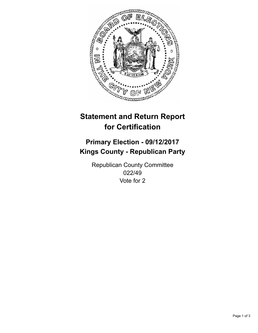

## **Statement and Return Report for Certification**

## **Primary Election - 09/12/2017 Kings County - Republican Party**

Republican County Committee 022/49 Vote for 2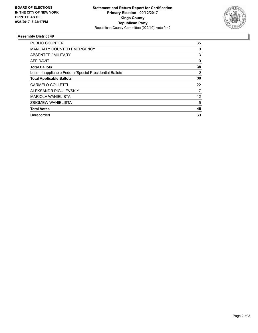

## **Assembly District 49**

| <b>PUBLIC COUNTER</b>                                    | 35 |
|----------------------------------------------------------|----|
| <b>MANUALLY COUNTED EMERGENCY</b>                        | 0  |
| ABSENTEE / MILITARY                                      | 3  |
| AFFIDAVIT                                                | 0  |
| <b>Total Ballots</b>                                     | 38 |
| Less - Inapplicable Federal/Special Presidential Ballots | 0  |
| <b>Total Applicable Ballots</b>                          | 38 |
| <b>CARMELO COLLETTI</b>                                  | 22 |
| ALEKSANDR PIGULEVSKIY                                    | 7  |
| <b>MARIOLA WANIELISTA</b>                                | 12 |
| <b>ZBIGMEW WANIELISTA</b>                                | 5  |
| <b>Total Votes</b>                                       | 46 |
| Unrecorded                                               | 30 |